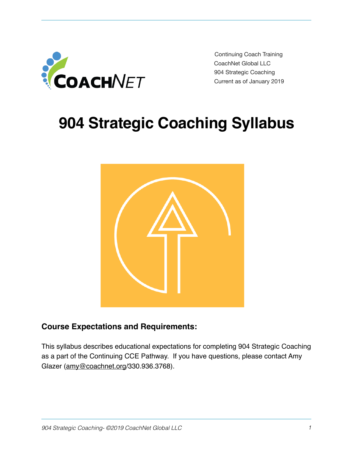

Continuing Coach Training CoachNet Global LLC 904 Strategic Coaching Current as of January 2019

# **904 Strategic Coaching Syllabus**



## **Course Expectations and Requirements:**

This syllabus describes educational expectations for completing 904 Strategic Coaching as a part of the Continuing CCE Pathway. If you have questions, please contact Amy Glazer ([amy@coachnet.org/](mailto:amy@coachnet.org)330.936.3768).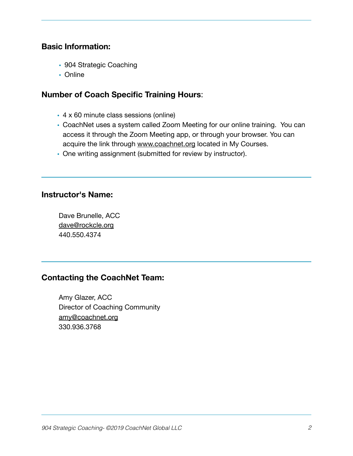### **Basic Information:**

- 904 Strategic Coaching
- Online

### **Number of Coach Specific Training Hours**:

- 4 x 60 minute class sessions (online)
- CoachNet uses a system called Zoom Meeting for our online training. You can access it through the Zoom Meeting app, or through your browser. You can acquire the link through [www.coachnet.org](http://www.coachnet.org) located in My Courses.
- One writing assignment (submitted for review by instructor).

#### **Instructor's Name:**

Dave Brunelle, ACC [dave@rockcle.org](mailto:dave@rockcle.org) 440.550.4374

## **Contacting the CoachNet Team:**

Amy Glazer, ACC Director of Coaching Community [amy@coachnet.org](mailto:amy@coachnet.org) 330.936.3768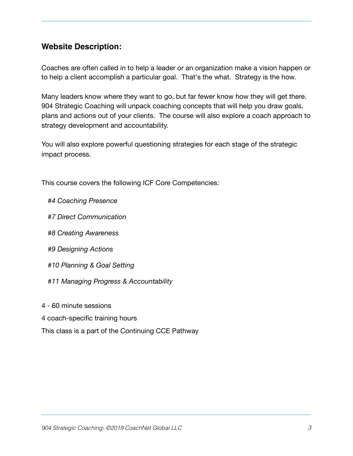## **Website Description:**

Coaches are often called in to help a leader or an organization make a vision happen or to help a client accomplish a particular goal. That's the what. Strategy is the how.

Many leaders know where they want to go, but far fewer know how they will get there. 904 Strategic Coaching will unpack coaching concepts that will help you draw goals, plans and actions out of your clients. The course will also explore a coach approach to strategy development and accountability.

You will also explore powerful questioning strategies for each stage of the strategic impact process.

This course covers the following ICF Core Competencies:

- *#4 Coaching Presence*
- *#7 Direct Communication*
- *#8 Creating Awareness*
- *#9 Designing Actions*
- *#10 Planning & Goal Setting*
- *#11 Managing Progress & Accountability*
- 4 60 minute sessions
- 4 coach-specific training hours
- This class is a part of the Continuing CCE Pathway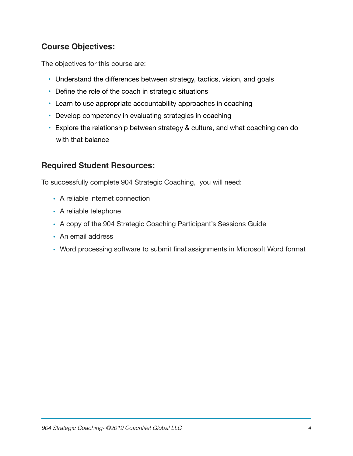## **Course Objectives:**

The objectives for this course are:

- Understand the differences between strategy, tactics, vision, and goals
- Define the role of the coach in strategic situations
- Learn to use appropriate accountability approaches in coaching
- Develop competency in evaluating strategies in coaching
- Explore the relationship between strategy & culture, and what coaching can do with that balance

## **Required Student Resources:**

To successfully complete 904 Strategic Coaching, you will need:

- A reliable internet connection
- A reliable telephone
- A copy of the 904 Strategic Coaching Participant's Sessions Guide
- An email address
- Word processing software to submit final assignments in Microsoft Word format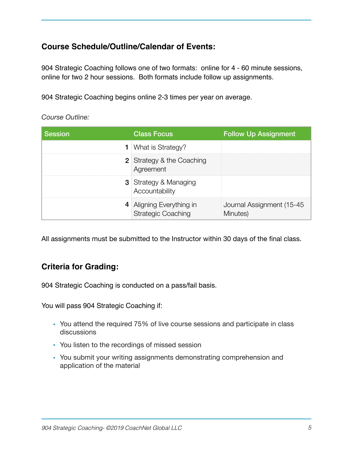## **Course Schedule/Outline/Calendar of Events:**

904 Strategic Coaching follows one of two formats: online for 4 - 60 minute sessions, online for two 2 hour sessions. Both formats include follow up assignments.

904 Strategic Coaching begins online 2-3 times per year on average.

*Course Outline:* 

| <b>Session</b> | <b>Class Focus</b>                                    | <b>Follow Up Assignment</b>            |
|----------------|-------------------------------------------------------|----------------------------------------|
|                | <b>1</b> What is Strategy?                            |                                        |
|                | <b>2</b> Strategy & the Coaching<br>Agreement         |                                        |
|                | <b>3</b> Strategy & Managing<br>Accountability        |                                        |
|                | 4 Aligning Everything in<br><b>Strategic Coaching</b> | Journal Assignment (15-45)<br>Minutes) |

All assignments must be submitted to the Instructor within 30 days of the final class.

## **Criteria for Grading:**

904 Strategic Coaching is conducted on a pass/fail basis.

You will pass 904 Strategic Coaching if:

- You attend the required 75% of live course sessions and participate in class discussions
- You listen to the recordings of missed session
- You submit your writing assignments demonstrating comprehension and application of the material